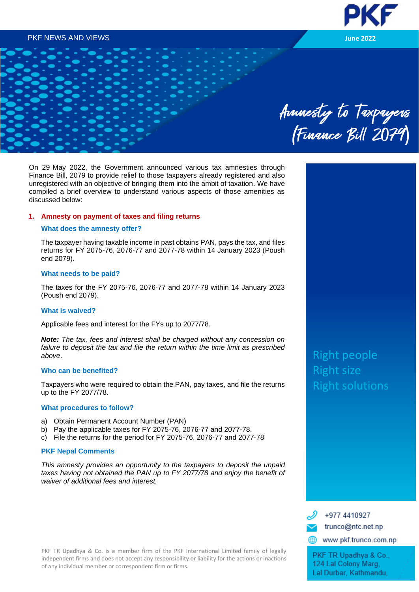# PKF NEWS AND VIEWS **June 2022**



# Anmesty to Taxpayers<br>(Finance Bill 2079)

On 29 May 2022, the Government announced various tax amnesties through Finance Bill, 2079 to provide relief to those taxpayers already registered and also unregistered with an objective of bringing them into the ambit of taxation. We have compiled a brief overview to understand various aspects of those amenities as discussed below:

# **1. Amnesty on payment of taxes and filing returns**

# **What does the amnesty offer?**

The taxpayer having taxable income in past obtains PAN, pays the tax, and files returns for FY 2075-76, 2076-77 and 2077-78 within 14 January 2023 (Poush end 2079).

# **What needs to be paid?**

The taxes for the FY 2075-76, 2076-77 and 2077-78 within 14 January 2023 (Poush end 2079).

# **What is waived?**

Applicable fees and interest for the FYs up to 2077/78.

*Note: The tax, fees and interest shall be charged without any concession on failure to deposit the tax and file the return within the time limit as prescribed above*.

#### **Who can be benefited?**

Taxpayers who were required to obtain the PAN, pay taxes, and file the returns up to the FY 2077/78.

# **What procedures to follow?**

- a) Obtain Permanent Account Number (PAN)
- b) Pay the applicable taxes for FY 2075-76, 2076-77 and 2077-78.
- c) File the returns for the period for FY 2075-76, 2076-77 and 2077-78

# **PKF Nepal Comments**

*This amnesty provides an opportunity to the taxpayers to deposit the unpaid*  taxes having not obtained the PAN up to FY 2077/78 and enjoy the benefit of *waiver of additional fees and interest.*

PKF TR Upadhya & Co. is a member firm of the PKF International Limited family of legally independent firms and does not accept any responsibility or liability for the actions or inactions of any individual member or correspondent firm or firms.

Right people Right size Right solutions



www.pkf.trunco.com.np

PKF TR Upadhya & Co., 124 Lal Colony Marg, Lal Durbar, Kathmandu,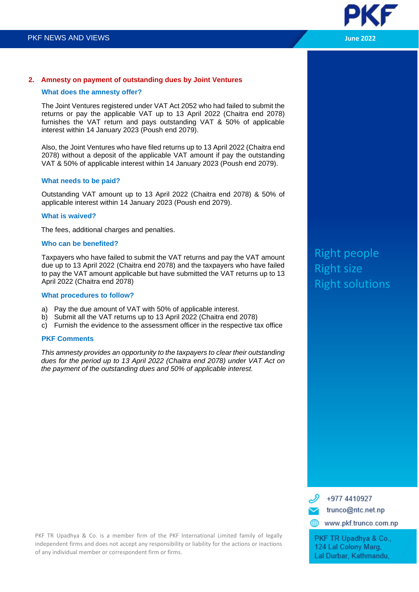

# **2. Amnesty on payment of outstanding dues by Joint Ventures**

# **What does the amnesty offer?**

The Joint Ventures registered under VAT Act 2052 who had failed to submit the returns or pay the applicable VAT up to 13 April 2022 (Chaitra end 2078) furnishes the VAT return and pays outstanding VAT & 50% of applicable interest within 14 January 2023 (Poush end 2079).

Also, the Joint Ventures who have filed returns up to 13 April 2022 (Chaitra end 2078) without a deposit of the applicable VAT amount if pay the outstanding VAT & 50% of applicable interest within 14 January 2023 (Poush end 2079).

# **What needs to be paid?**

Outstanding VAT amount up to 13 April 2022 (Chaitra end 2078) & 50% of applicable interest within 14 January 2023 (Poush end 2079).

# **What is waived?**

The fees, additional charges and penalties.

# **Who can be benefited?**

Taxpayers who have failed to submit the VAT returns and pay the VAT amount due up to 13 April 2022 (Chaitra end 2078) and the taxpayers who have failed to pay the VAT amount applicable but have submitted the VAT returns up to 13 April 2022 (Chaitra end 2078)

# **What procedures to follow?**

- a) Pay the due amount of VAT with 50% of applicable interest.
- b) Submit all the VAT returns up to 13 April 2022 (Chaitra end 2078)
- c) Furnish the evidence to the assessment officer in the respective tax office

# **PKF Comments**

*This amnesty provides an opportunity to the taxpayers to clear their outstanding dues for the period up to 13 April 2022 (Chaitra end 2078) under VAT Act on the payment of the outstanding dues and 50% of applicable interest.*

Right people Right size Right solutions

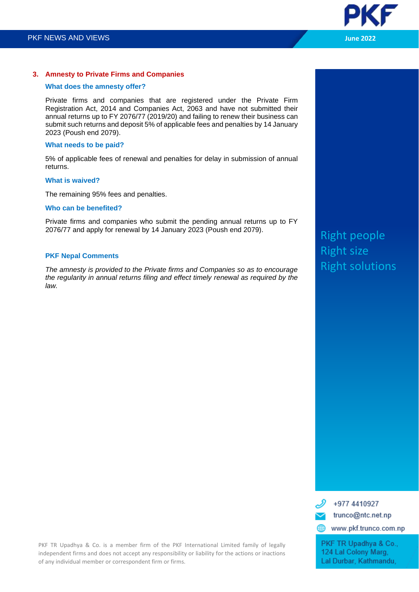

# **3. Amnesty to Private Firms and Companies**

# **What does the amnesty offer?**

Private firms and companies that are registered under the Private Firm Registration Act, 2014 and Companies Act, 2063 and have not submitted their annual returns up to FY 2076/77 (2019/20) and failing to renew their business can submit such returns and deposit 5% of applicable fees and penalties by 14 January 2023 (Poush end 2079).

# **What needs to be paid?**

5% of applicable fees of renewal and penalties for delay in submission of annual returns.

# **What is waived?**

The remaining 95% fees and penalties.

# **Who can be benefited?**

Private firms and companies who submit the pending annual returns up to FY 2076/77 and apply for renewal by 14 January 2023 (Poush end 2079).

# **PKF Nepal Comments**

*The amnesty is provided to the Private firms and Companies so as to encourage the regularity in annual returns filing and effect timely renewal as required by the law.* 

Right people Right size Right solutions



Lal Durbar, Kathmandu,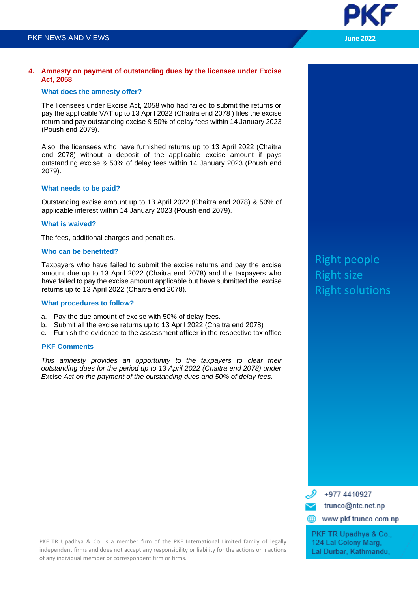

# **What does the amnesty offer?**

The licensees under Excise Act, 2058 who had failed to submit the returns or pay the applicable VAT up to 13 April 2022 (Chaitra end 2078 ) files the excise return and pay outstanding excise & 50% of delay fees within 14 January 2023 (Poush end 2079).

Also, the licensees who have furnished returns up to 13 April 2022 (Chaitra end 2078) without a deposit of the applicable excise amount if pays outstanding excise & 50% of delay fees within 14 January 2023 (Poush end 2079).

# **What needs to be paid?**

Outstanding excise amount up to 13 April 2022 (Chaitra end 2078) & 50% of applicable interest within 14 January 2023 (Poush end 2079).

# **What is waived?**

The fees, additional charges and penalties.

# **Who can be benefited?**

Taxpayers who have failed to submit the excise returns and pay the excise amount due up to 13 April 2022 (Chaitra end 2078) and the taxpayers who have failed to pay the excise amount applicable but have submitted the excise returns up to 13 April 2022 (Chaitra end 2078).

# **What procedures to follow?**

- a. Pay the due amount of excise with 50% of delay fees.
- b. Submit all the excise returns up to 13 April 2022 (Chaitra end 2078)
- c. Furnish the evidence to the assessment officer in the respective tax office

# **PKF Comments**

*This amnesty provides an opportunity to the taxpayers to clear their outstanding dues for the period up to 13 April 2022 (Chaitra end 2078) under E*xcise *Act on the payment of the outstanding dues and 50% of delay fees.*

Right people Right size Right solutions

+977 4410927 trunco@ntc.net.np www.pkf.trunco.com.np PKF TR Upadhya & Co., 124 Lal Colony Marg.

Lal Durbar, Kathmandu,

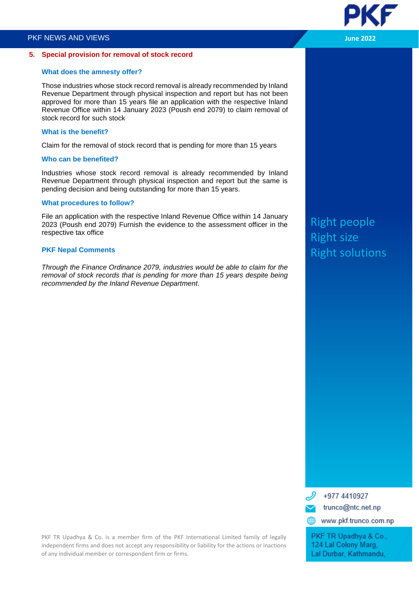#### **5. Special provision for removal of stock record**

# **What does the amnesty offer?**

Those industries whose stock record removal is already recommended by Inland Revenue Department through physical inspection and report but has not been approved for more than 15 years file an application with the respective Inland Revenue Office within 14 January 2023 (Poush end 2079) to claim removal of stock record for such stock

# **What is the benefit?**

Claim for the removal of stock record that is pending for more than 15 years

# **Who can be benefited?**

Industries whose stock record removal is already recommended by Inland Revenue Department through physical inspection and report but the same is pending decision and being outstanding for more than 15 years.

# **What procedures to follow?**

File an application with the respective Inland Revenue Office within 14 January 2023 (Poush end 2079) Furnish the evidence to the assessment officer in the respective tax office

# **PKF Nepal Comments**

*Through the Finance Ordinance 2079, industries would be able to claim for the removal of stock records that is pending for more than 15 years despite being recommended by the Inland Revenue Department*.

Right people Right size Right solutions



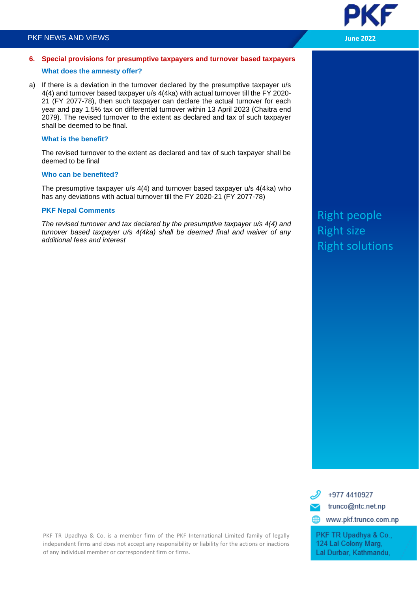# PKF NEWS AND VIEWS **June 2022**



# **6. Special provisions for presumptive taxpayers and turnover based taxpayers What does the amnesty offer?**

a) If there is a deviation in the turnover declared by the presumptive taxpayer u/s 4(4) and turnover based taxpayer u/s 4(4ka) with actual turnover till the FY 2020- 21 (FY 2077-78), then such taxpayer can declare the actual turnover for each year and pay 1.5% tax on differential turnover within 13 April 2023 (Chaitra end 2079). The revised turnover to the extent as declared and tax of such taxpayer shall be deemed to be final.

# **What is the benefit?**

The revised turnover to the extent as declared and tax of such taxpayer shall be deemed to be final

# **Who can be benefited?**

The presumptive taxpayer u/s 4(4) and turnover based taxpayer u/s 4(4ka) who has any deviations with actual turnover till the FY 2020-21 (FY 2077-78)

# **PKF Nepal Comments**

*The revised turnover and tax declared by the presumptive taxpayer u/s 4(4) and turnover based taxpayer u/s 4(4ka) shall be deemed final and waiver of any additional fees and interest* 

# Right people Right size Right solutions